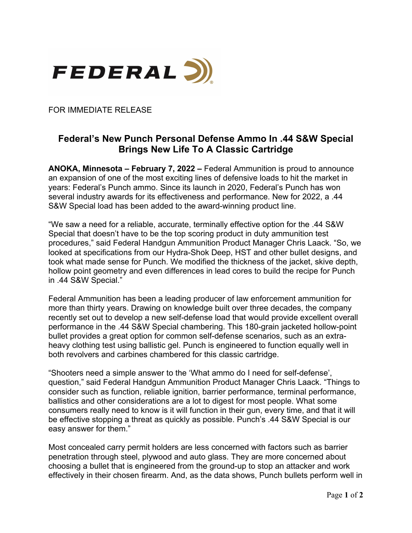

FOR IMMEDIATE RELEASE

## **Federal's New Punch Personal Defense Ammo In .44 S&W Special Brings New Life To A Classic Cartridge**

**ANOKA, Minnesota – February 7, 2022 –** Federal Ammunition is proud to announce an expansion of one of the most exciting lines of defensive loads to hit the market in years: Federal's Punch ammo. Since its launch in 2020, Federal's Punch has won several industry awards for its effectiveness and performance. New for 2022, a .44 S&W Special load has been added to the award-winning product line.

"We saw a need for a reliable, accurate, terminally effective option for the .44 S&W Special that doesn't have to be the top scoring product in duty ammunition test procedures," said Federal Handgun Ammunition Product Manager Chris Laack. "So, we looked at specifications from our Hydra-Shok Deep, HST and other bullet designs, and took what made sense for Punch. We modified the thickness of the jacket, skive depth, hollow point geometry and even differences in lead cores to build the recipe for Punch in .44 S&W Special."

Federal Ammunition has been a leading producer of law enforcement ammunition for more than thirty years. Drawing on knowledge built over three decades, the company recently set out to develop a new self-defense load that would provide excellent overall performance in the .44 S&W Special chambering. This 180-grain jacketed hollow-point bullet provides a great option for common self-defense scenarios, such as an extraheavy clothing test using ballistic gel. Punch is engineered to function equally well in both revolvers and carbines chambered for this classic cartridge.

"Shooters need a simple answer to the 'What ammo do I need for self-defense', question," said Federal Handgun Ammunition Product Manager Chris Laack. "Things to consider such as function, reliable ignition, barrier performance, terminal performance, ballistics and other considerations are a lot to digest for most people. What some consumers really need to know is it will function in their gun, every time, and that it will be effective stopping a threat as quickly as possible. Punch's .44 S&W Special is our easy answer for them."

Most concealed carry permit holders are less concerned with factors such as barrier penetration through steel, plywood and auto glass. They are more concerned about choosing a bullet that is engineered from the ground-up to stop an attacker and work effectively in their chosen firearm. And, as the data shows, Punch bullets perform well in